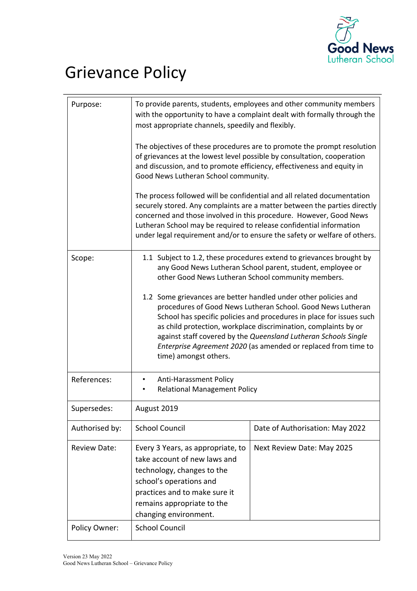

# Grievance Policy

| Purpose:            | To provide parents, students, employees and other community members<br>with the opportunity to have a complaint dealt with formally through the<br>most appropriate channels, speedily and flexibly.                                                                                                                                                                                                                                    |                                 |
|---------------------|-----------------------------------------------------------------------------------------------------------------------------------------------------------------------------------------------------------------------------------------------------------------------------------------------------------------------------------------------------------------------------------------------------------------------------------------|---------------------------------|
|                     | The objectives of these procedures are to promote the prompt resolution<br>of grievances at the lowest level possible by consultation, cooperation<br>and discussion, and to promote efficiency, effectiveness and equity in<br>Good News Lutheran School community.                                                                                                                                                                    |                                 |
|                     | The process followed will be confidential and all related documentation<br>securely stored. Any complaints are a matter between the parties directly<br>concerned and those involved in this procedure. However, Good News<br>Lutheran School may be required to release confidential information<br>under legal requirement and/or to ensure the safety or welfare of others.                                                          |                                 |
| Scope:              | 1.1 Subject to 1.2, these procedures extend to grievances brought by<br>any Good News Lutheran School parent, student, employee or<br>other Good News Lutheran School community members.                                                                                                                                                                                                                                                |                                 |
|                     | 1.2 Some grievances are better handled under other policies and<br>procedures of Good News Lutheran School. Good News Lutheran<br>School has specific policies and procedures in place for issues such<br>as child protection, workplace discrimination, complaints by or<br>against staff covered by the Queensland Lutheran Schools Single<br>Enterprise Agreement 2020 (as amended or replaced from time to<br>time) amongst others. |                                 |
| References:         | <b>Anti-Harassment Policy</b><br><b>Relational Management Policy</b><br>٠                                                                                                                                                                                                                                                                                                                                                               |                                 |
| Supersedes:         | August 2019                                                                                                                                                                                                                                                                                                                                                                                                                             |                                 |
| Authorised by:      | <b>School Council</b>                                                                                                                                                                                                                                                                                                                                                                                                                   | Date of Authorisation: May 2022 |
| <b>Review Date:</b> | Every 3 Years, as appropriate, to<br>take account of new laws and<br>technology, changes to the<br>school's operations and<br>practices and to make sure it<br>remains appropriate to the<br>changing environment.                                                                                                                                                                                                                      | Next Review Date: May 2025      |
| Policy Owner:       | <b>School Council</b>                                                                                                                                                                                                                                                                                                                                                                                                                   |                                 |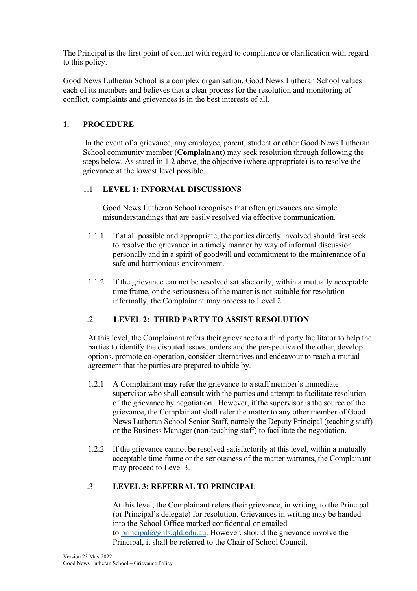The Principal is the first point of contact with regard to compliance or clarification with regard to this policy.

Good News Lutheran School is a complex organisation. Good News Lutheran School values each of its members and believes that a clear process for the resolution and monitoring of conflict, complaints and grievances is in the best interests of all.

# **1. PROCEDURE**

In the event of a grievance, any employee, parent, student or other Good News Lutheran School community member (**Complainant**) may seek resolution through following the steps below. As stated in 1.2 above, the objective (where appropriate) is to resolve the grievance at the lowest level possible.

# 1.1 **LEVEL 1: INFORMAL DISCUSSIONS**

Good News Lutheran School recognises that often grievances are simple misunderstandings that are easily resolved via effective communication.

- 1.1.1 If at all possible and appropriate, the parties directly involved should first seek to resolve the grievance in a timely manner by way of informal discussion personally and in a spirit of goodwill and commitment to the maintenance of a safe and harmonious environment.
- 1.1.2 If the grievance can not be resolved satisfactorily, within a mutually acceptable time frame, or the seriousness of the matter is not suitable for resolution informally, the Complainant may process to Level 2.

# 1.2 **LEVEL 2: THIRD PARTY TO ASSIST RESOLUTION**

At this level, the Complainant refers their grievance to a third party facilitator to help the parties to identify the disputed issues, understand the perspective of the other, develop options, promote co-operation, consider alternatives and endeavour to reach a mutual agreement that the parties are prepared to abide by.

- 1.2.1 A Complainant may refer the grievance to a staff member's immediate supervisor who shall consult with the parties and attempt to facilitate resolution of the grievance by negotiation. However, if the supervisor is the source of the grievance, the Complainant shall refer the matter to any other member of Good News Lutheran School Senior Staff, namely the Deputy Principal (teaching staff) or the Business Manager (non-teaching staff) to facilitate the negotiation.
- 1.2.2 If the grievance cannot be resolved satisfactorily at this level, within a mutually acceptable time frame or the seriousness of the matter warrants, the Complainant may proceed to Level 3.

## 1.3 **LEVEL 3: REFERRAL TO PRINCIPAL**

At this level, the Complainant refers their grievance, in writing, to the Principal (or Principal's delegate) for resolution. Grievances in writing may be handed into the School Office marked confidential or emailed to principal@gnls.qld.edu.au. However, should the grievance involve the Principal, it shall be referred to the Chair of School Council.